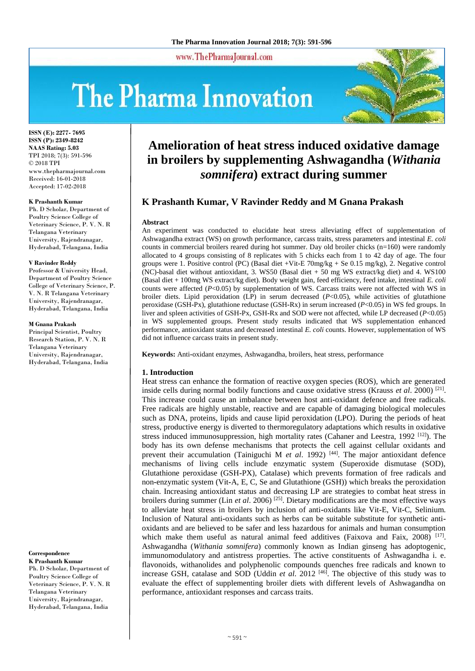#### www.ThePharmaJournal.com

# The Pharma Innovation



**ISSN (E): 2277- 7695 ISSN (P): 2349-8242 NAAS Rating: 5.03** TPI 2018; 7(3): 591-596 © 2018 TPI www.thepharmajournal.com Received: 16-01-2018 Accepted: 17-02-2018

#### **K Prashanth Kumar**

Ph. D Scholar, Department of Poultry Science College of Veterinary Science, P. V. N. R Telangana Veterinary University, Rajendranagar, Hyderabad, Telangana, India

#### **V Ravinder Reddy**

Professor & University Head, Department of Poultry Science College of Veterinary Science, P. V. N. R Telangana Veterinary University, Rajendranagar, Hyderabad, Telangana, India

#### **M Gnana Prakash**

Principal Scientist, Poultry Research Station, P. V. N. R Telangana Veterinary University, Rajendranagar, Hyderabad, Telangana, India

**Correspondence**

**K Prashanth Kumar** Ph. D Scholar, Department of Poultry Science College of Veterinary Science, P. V. N. R Telangana Veterinary University, Rajendranagar, Hyderabad, Telangana, India

# **Amelioration of heat stress induced oxidative damage in broilers by supplementing Ashwagandha (***Withania somnifera***) extract during summer**

## **K Prashanth Kumar, V Ravinder Reddy and M Gnana Prakash**

#### **Abstract**

An experiment was conducted to elucidate heat stress alleviating effect of supplementation of Ashwagandha extract (WS) on growth performance, carcass traits, stress parameters and intestinal *E. coli*  counts in commercial broilers reared during hot summer. Day old broiler chicks (n=160) were randomly allocated to 4 groups consisting of 8 replicates with 5 chicks each from 1 to 42 day of age. The four groups were 1. Positive control (PC) (Basal diet +Vit**-**E 70mg/kg + Se 0.15 mg/kg), 2. Negative control (NC)**-**basal diet without antioxidant, 3. WS50 (Basal diet + 50 mg WS extract/kg diet) and 4. WS100 (Basal diet + 100mg WS extract/kg diet). Body weight gain, feed efficiency, feed intake, intestinal *E. coli* counts were affected (*P*<0.05) by supplementation of WS. Carcass traits were not affected with WS in broiler diets. Lipid peroxidation (LP) in serum decreased  $(P<0.05)$ , while activities of glutathione peroxidase (GSH**-**Px), glutathione reductase (GSH**-**Rx) in serum increased (*P*<0.05) in WS fed groups. In liver and spleen activities of GSH**-**Px, GSH**-**Rx and SOD were not affected, while LP decreased (*P*<0.05) in WS supplemented groups. Present study results indicated that WS supplementation enhanced performance, antioxidant status and decreased intestinal *E. coli* counts. However, supplementation of WS did not influence carcass traits in present study.

**Keywords:** Anti**-**oxidant enzymes, Ashwagandha, broilers, heat stress, performance

#### **1. Introduction**

Heat stress can enhance the formation of reactive oxygen species (ROS), which are generated inside cells during normal bodily functions and cause oxidative stress (Krauss *et al*. 2000) [21] . This increase could cause an imbalance between host anti**-**oxidant defence and free radicals. Free radicals are highly unstable, reactive and are capable of damaging biological molecules such as DNA, proteins, lipids and cause lipid peroxidation (LPO). During the periods of heat stress, productive energy is diverted to thermoregulatory adaptations which results in oxidative stress induced immunosuppression, high mortality rates (Cahaner and Leestra, 1992  $[12]$ ). The body has its own defense mechanisms that protects the cell against cellular oxidants and prevent their accumulation (Tainiguchi M *et al.* 1992)<sup>[44]</sup>. The major antioxidant defence mechanisms of living cells include enzymatic system (Superoxide dismutase (SOD), Glutathione peroxidase (GSH**-**PX), Catalase) which prevents formation of free radicals and non**-**enzymatic system (Vit**-**A, E, C, Se and Glutathione (GSH)) which breaks the peroxidation chain. Increasing antioxidant status and decreasing LP are strategies to combat heat stress in broilers during summer (Lin *et al*. 2006) [25]. Dietary modifications are the most effective ways to alleviate heat stress in broilers by inclusion of anti**-**oxidants like Vit**-**E, Vit**-**C, Selinium. Inclusion of Natural anti**-**oxidants such as herbs can be suitable substitute for synthetic antioxidants and are believed to be safer and less hazardous for animals and human consumption which make them useful as natural animal feed additives (Faixova and Faix, 2008) <sup>[17]</sup>. Ashwagandha (*Withania somnifera*) commonly known as Indian ginseng has adoptogenic, immunomodulatory and antistress properties. The active constituents of Ashwagandha i. e. flavonoids, withanolides and polyphenolic compounds quenches free radicals and known to increase GSH, catalase and SOD (Uddin *et al*. 2012 [46]. The objective of this study was to evaluate the effect of supplementing broiler diets with different levels of Ashwagandha on performance, antioxidant responses and carcass traits.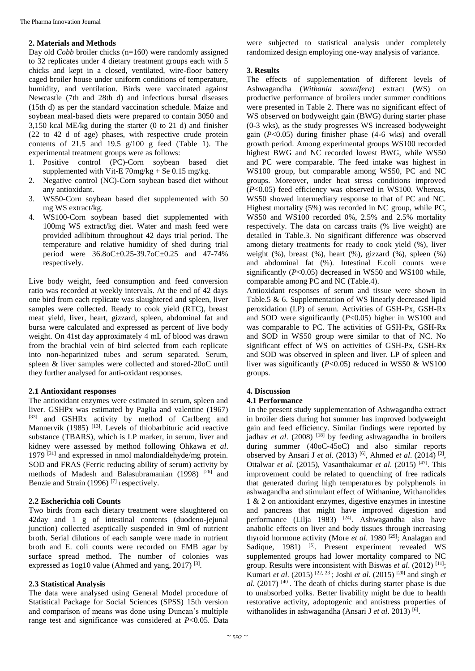#### **2. Materials and Methods**

Day old *Cobb* broiler chicks (n=160) were randomly assigned to 32 replicates under 4 dietary treatment groups each with 5 chicks and kept in a closed, ventilated, wire**-**floor battery caged broiler house under uniform conditions of temperature, humidity, and ventilation. Birds were vaccinated against Newcastle (7th and 28th d) and infectious bursal diseases (15th d) as per the standard vaccination schedule. Maize and soybean meal**-**based diets were prepared to contain 3050 and 3,150 kcal ME/kg during the starter (0 to 21 d) and finisher (22 to 42 d of age) phases, with respective crude protein contents of  $21.5$  and  $19.5$   $g/100$  g feed (Table 1). The experimental treatment groups were as follows:

- 1. Positive control (PC)**-**Corn soybean based diet supplemented with Vit**-**E 70mg/kg + Se 0.15 mg/kg.
- 2. Negative control (NC)**-**Corn soybean based diet without any antioxidant.
- 3. WS50**-**Corn soybean based diet supplemented with 50 mg WS extract/kg.
- 4. WS100**-**Corn soybean based diet supplemented with 100mg WS extract/kg diet. Water and mash feed were provided adlibitum throughout 42 days trial period. The temperature and relative humidity of shed during trial period were 36.8oC±0.25**-**39.7oC±0.25 and 47**-**74% respectively.

Live body weight, feed consumption and feed conversion ratio was recorded at weekly intervals. At the end of 42 days one bird from each replicate was slaughtered and spleen, liver samples were collected. Ready to cook yield (RTC), breast meat yield, liver, heart, gizzard, spleen, abdominal fat and bursa were calculated and expressed as percent of live body weight. On 41st day approximately 4 mL of blood was drawn from the brachial vein of bird selected from each replicate into non**-**heparinized tubes and serum separated. Serum, spleen & liver samples were collected and stored**-**20oC until they further analysed for anti**-**oxidant responses.

#### **2.1 Antioxidant responses**

The antioxidant enzymes were estimated in serum, spleen and liver. GSHPx was estimated by Paglia and valentine (1967) [33] and GSHRx activity by method of Carlberg and Mannervik (1985)<sup>[13]</sup>. Levels of thiobarbituric acid reactive substance (TBARS), which is LP marker, in serum, liver and kidney were assessed by method following Ohkawa *et al*. 1979 [31] and expressed in nmol malondialdehyde/mg protein. SOD and FRAS (Ferric reducing ability of serum) activity by methods of Madesh and Balasubramanian (1998) <sup>[26]</sup> and Benzie and Strain (1996)<sup>[7]</sup> respectively.

#### **2.2 Escherichia coli Counts**

Two birds from each dietary treatment were slaughtered on 42day and 1 g of intestinal contents (duodeno**-**jejunal junction) collected aseptically suspended in 9ml of nutrient broth. Serial dilutions of each sample were made in nutrient broth and E. coli counts were recorded on EMB agar by surface spread method. The number of colonies was expressed as 1og10 value (Ahmed and yang, 2017)<sup>[3]</sup>.

#### **2.3 Statistical Analysis**

The data were analysed using General Model procedure of Statistical Package for Social Sciences (SPSS) 15th version and comparison of means was done using Duncan's multiple range test and significance was considered at *P*<0.05. Data

were subjected to statistical analysis under completely randomized design employing one**-**way analysis of variance.

#### **3. Results**

The effects of supplementation of different levels of Ashwagandha (*Withania somnifera*) extract (WS) on productive performance of broilers under summer conditions were presented in Table 2. There was no significant effect of WS observed on bodyweight gain (BWG) during starter phase (0**-**3 wks), as the study progresses WS increased bodyweight gain (*P*<0.05) during finisher phase (4**-**6 wks) and overall growth period. Among experimental groups WS100 recorded highest BWG and NC recorded lowest BWG, while WS50 and PC were comparable. The feed intake was highest in WS100 group, but comparable among WS50, PC and NC groups. Moreover, under heat stress conditions improved (*P*<0.05) feed efficiency was observed in WS100. Whereas, WS50 showed intermediary response to that of PC and NC. Highest mortality (5%) was recorded in NC group, while PC, WS50 and WS100 recorded 0%, 2.5% and 2.5% mortality respectively. The data on carcass traits (% live weight) are detailed in Table.3. No significant difference was observed among dietary treatments for ready to cook yield (%), liver weight  $(\%)$ , breast  $(\%)$ , heart  $(\%)$ , gizzard  $(\%)$ , spleen  $(\%)$ and abdominal fat (%). Intestinal E.coli counts were significantly (*P*<0.05) decreased in WS50 and WS100 while, comparable among PC and NC (Table.4).

Antioxidant responses of serum and tissue were shown in Table.5 & 6. Supplementation of WS linearly decreased lipid peroxidation (LP) of serum. Activities of GSH**-**Px, GSH**-**Rx and SOD were significantly (*P*<0.05) higher in WS100 and was comparable to PC. The activities of GSH**-**Px, GSH**-**Rx and SOD in WS50 group were similar to that of NC. No significant effect of WS on activities of GSH**-**Px, GSH**-**Rx and SOD was observed in spleen and liver. LP of spleen and liver was significantly (*P*<0.05) reduced in WS50 & WS100 groups.

#### **4. Discussion**

#### **4.1 Performance**

In the present study supplementation of Ashwagandha extract in broiler diets during hot summer has improved bodyweight gain and feed efficiency. Similar findings were reported by jadhav *et al.* (2008) <sup>[18]</sup> by feeding ashwagandha in broilers during summer (40oC**-**45oC) and also similar reports observed by Ansari J *et al.* (2013)<sup>[6]</sup>, Ahmed *et al.* (2014)<sup>[2]</sup>, Ottalwar *et al*. (2015), Vasanthakumar *et al*. (2015) [47]. This improvement could be related to quenching of free radicals that generated during high temperatures by polyphenols in ashwagandha and stimulant effect of Withanine, Withanolides 1 & 2 on antioxidant enzymes, digestive enzymes in intestine and pancreas that might have improved digestion and performance (Lilja 1983) <sup>[24]</sup>. Ashwagandha also have anabolic effects on liver and body tissues through increasing thyroid hormone activity (More *et al*. 1980 [29]; Analagan and Sadique, 1981) <sup>[5]</sup>. Present experiment revealed WS supplemented groups had lower mortality compared to NC group. Results were inconsistent with Biswas *et al*. (2012) [11]; Kumari *et al*. (2015) [22, 23]; Joshi *et al*. (2015) [20] and singh *et al*. (2017) [40]. The death of chicks during starter phase is due to unabsorbed yolks. Better livability might be due to health restorative activity, adoptogenic and antistress properties of withanolides in ashwagandha (Ansari J et al. 2013)<sup>[6]</sup>.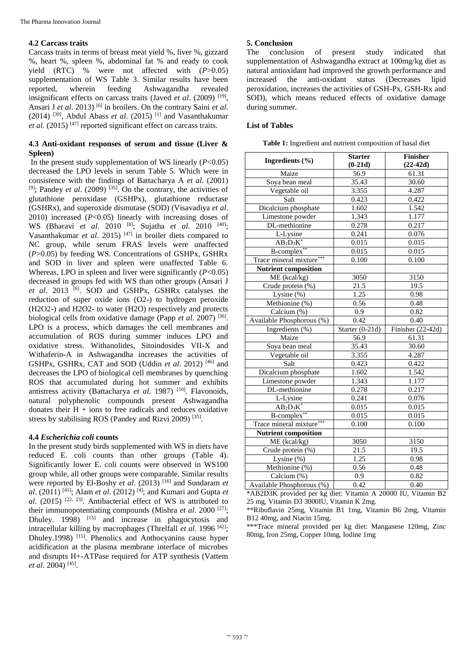#### **4.2 Carcass traits**

Carcass traits in terms of breast meat yield %, liver %, gizzard %, heart %, spleen %, abdominal fat % and ready to cook yield (RTC) % were not affected with (*P*>0.05) supplementation of WS Table 3. Similar results have been reported, wherein feeding Ashwagandha revealed insignificant effects on carcass traits (Javed *et al.* (2009)<sup>[19]</sup>, Ansari J *et al.* 2013) <sup>[6]</sup> in broilers. On the contrary Saini *et al.* (2014) [39], Abdul Abass *et al*. (2015) [1] and Vasanthakumar *et al*. (2015) [47] reported significant effect on carcass traits.

# **4.3 Anti**-**oxidant responses of serum and tissue (Liver & Spleen)**

In the present study supplementation of WS linearly  $(P<0.05)$ decreased the LPO levels in serum Table 5. Which were in consistence with the findings of Battacharya A *et al*. (2001) <sup>[9]</sup>; Pandey *et al.* (2009)<sup>[35]</sup>. On the contrary, the activities of glutathione peroxidase (GSHPx), glutathione reductase (GSHRx), and superoxide dismutase (SOD) (Visavadiya *et al*. 2010) increased (*P*<0.05) linearly with increasing doses of WS (Bharavi *et al*. 2010 [8]; Sujatha *et al*. 2010 [40]; Vasanthakumar *et al*. 2015) [47] in broiler diets compared to NC group, while serum FRAS levels were unaffected (*P*>0.05) by feeding WS. Concentrations of GSHPx, GSHRx and SOD in liver and spleen were unaffected Table 6. Whereas, LPO in spleen and liver were significantly (*P*<0.05) decreased in groups fed with WS than other groups (Ansari J et al. 2013 <sup>[6]</sup>. SOD and GSHPx, GSHRx catalyses the reduction of super oxide ions (O2**-**) to hydrogen peroxide (H2O2**-**) and H2O2**-** to water (H2O) respectively and protects biological cells from oxidative damage (Papp *et al*. 2007) [36] . LPO is a process, which damages the cell membranes and accumulation of ROS during summer induces LPO and oxidative stress. Withanolides, Sitoindosides VII**-**X and Withaferin**-**A in Ashwagandha increases the activities of GSHPx, GSHRx, CAT and SOD (Uddin *et al*. 2012) [46] and decreases the LPO of biological cell membranes by quenching ROS that accumulated during hot summer and exhibits antistress activity (Battacharya *et al*. 1987) [10]. Flavonoids, natural polyphenolic compounds present Ashwagandha donates their  $H + \text{ions}$  to free radicals and reduces oxidative stress by stabilising ROS (Pandey and Rizvi 2009)<sup>[35]</sup>.

# **4.4** *Escherichia coli* **counts**

In the present study birds supplemented with WS in diets have reduced E. coli counts than other groups (Table 4). Significantly lower E. coli counts were observed in WS100 group while, all other groups were comparable. Similar results were reported by El**-**Boshy *et al*. (2013) [16] and Sundaram *et al*. (2011) [41]; Alam *et al*. (2012) [4]; and Kumari and Gupta *et*   $al.$  (2015)<sup>[22, 23]</sup>. Antibacterial effect of WS is attributed to their immunopotentiating compounds (Mishra *et al*. 2000 [27]; Dhuley. 1998) <sup>[15]</sup> and increase in phagocytosis and intracellular killing by macrophages (Threlfall *et al.* 1996<sup>[42]</sup>; Dhuley.1998) <sup>[15]</sup>. Phenolics and Anthocyanins cause hyper acidification at the plasma membrane interface of microbes and disrupts H+**-**ATPase required for ATP synthesis (Vattem *et al*. 2004) [45] .

### **5. Conclusion**

The conclusion of present study indicated that supplementation of Ashwagandha extract at 100mg/kg diet as natural antioxidant had improved the growth performance and increased the anti**-**oxidant status (Decreases lipid peroxidation, increases the activities of GSH**-**Px, GSH**-**Rx and SOD), which means reduced effects of oxidative damage during summer.

### **List of Tables**

|  | Table 1: Ingredient and nutrient composition of basal diet |  |  |  |  |  |  |  |
|--|------------------------------------------------------------|--|--|--|--|--|--|--|
|--|------------------------------------------------------------|--|--|--|--|--|--|--|

|                             | <b>Starter</b>    | <b>Finisher</b>     |
|-----------------------------|-------------------|---------------------|
| Ingredients (%)             | $(0-21d)$         |                     |
| Maize                       |                   | $(22-42d)$          |
| Soya bean meal              | 56.9<br>35.43     | 61.31<br>30.60      |
|                             |                   |                     |
| Vegetable oil               | 3.355             | 4.287               |
| Salt                        | 0.423             | 0.422               |
| Dicalcium phosphate         | 1.602             | 1.542               |
| Limestone powder            | 1.343             | 1.177               |
| DL-methionine               | 0.278             | 0.217               |
| L-Lysine                    | 0.241             | 0.076               |
| $AB_2D_3K^*$                | 0.015             | 0.015               |
| B-complex**                 | 0.015             | 0.015               |
| Trace mineral mixture       | 0.100             | 0.100               |
| <b>Nutrient composition</b> |                   |                     |
| ME (kcal/kg)                | 3050              | 3150                |
| Crude protein (%)           | 21.5              | 19.5                |
| Lysine (%)                  | 1.25              | 0.98                |
| Methionine (%)              | 0.56              | 0.48                |
| Calcium (%)                 | 0.9               | 0.82                |
| Available Phosphorous (%)   | 0.42              | 0.40                |
| Ingredients (%)             | Starter $(0-21d)$ | Finisher $(22-42d)$ |
| Maize                       | 56.9              | 61.31               |
| Soya bean meal              | 35.43             | 30.60               |
| Vegetable oil               | 3.355             | 4.287               |
| Salt                        | 0.423             | 0.422               |
| Dicalcium phosphate         | 1.602             | 1.542               |
| Limestone powder            | 1.343             | 1.177               |
| DL-methionine               | 0.278             | 0.217               |
| L-Lysine                    | 0.241             | 0.076               |
| $AB_2D_3K^*$                | 0.015             | 0.015               |
| B-complex**                 | 0.015             | 0.015               |
| Trace mineral mixture*      | 0.100             | 0.100               |
| <b>Nutrient composition</b> |                   |                     |
| ME (kcal/kg)                | 3050              | 3150                |
| Crude protein (%)           | 21.5              | 19.5                |
| Lysine (%)                  | 1.25              | 0.98                |
| Methionine (%)              | 0.56              | 0.48                |
| Calcium (%)                 | 0.9               | 0.82                |
| Available Phosphorous (%)   | 0.42              | 0.40                |

\*AB2D3K provided per kg diet: Vitamin A 20000 IU, Vitamin B2 25 mg, Vitamin D3 3000IU, Vitamin K 2mg.

\*\*Riboflavin 25mg, Vitamin B1 1mg, Vitamin B6 2mg, Vitamin B12 40mg, and Niacin 15mg.

\*\*\*Trace mineral provided per kg diet: Manganese 120mg, Zinc 80mg, Iron 25mg, Copper 10mg, Iodine 1mg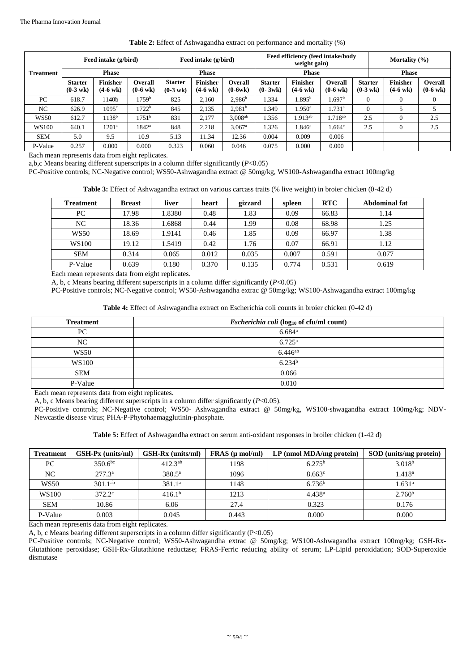|                  | Feed intake (g/bird)                 |                                       |                                      | Feed intake (g/bird)                 |                                       | Feed efficiency (feed intake/body<br>weight gain) |                               |                                       |                                      | Mortality $(\% )$                    |                                       |                                      |
|------------------|--------------------------------------|---------------------------------------|--------------------------------------|--------------------------------------|---------------------------------------|---------------------------------------------------|-------------------------------|---------------------------------------|--------------------------------------|--------------------------------------|---------------------------------------|--------------------------------------|
| <b>Treatment</b> | <b>Phase</b>                         |                                       |                                      | <b>Phase</b>                         |                                       | <b>Phase</b>                                      |                               |                                       |                                      | <b>Phase</b>                         |                                       |                                      |
|                  | <b>Starter</b><br>$(0-3 \text{ wk})$ | <b>Finisher</b><br>$(4-6 \text{ wk})$ | <b>Overall</b><br>$(0-6 \text{ wk})$ | <b>Starter</b><br>$(0-3 \text{ wk})$ | <b>Finisher</b><br>$(4-6 \text{ wk})$ | <b>Overall</b><br>$(0-6wk)$                       | <b>Starter</b><br>$(0 - 3wk)$ | <b>Finisher</b><br>$(4-6 \text{ wk})$ | <b>Overall</b><br>$(0-6 \text{ wk})$ | <b>Starter</b><br>$(0-3 \text{ wk})$ | <b>Finisher</b><br>$(4-6 \text{ wk})$ | <b>Overall</b><br>$(0-6 \text{ wk})$ |
| PC               | 618.7                                | 1140b                                 | 1759 <sup>b</sup>                    | 825                                  | 2.160                                 | $2,986^{\rm b}$                                   | 1.334                         | $1.895^{\rm b}$                       | 1.697 <sup>b</sup>                   | $\Omega$                             |                                       |                                      |
| NC               | 626.9                                | 1095 <sup>c</sup>                     | 1722 <sup>b</sup>                    | 845                                  | 2,135                                 | 2.981 <sup>b</sup>                                | 1.349                         | $1.950^{\rm a}$                       | $1.731^{\circ}$                      | $\mathbf{0}$                         |                                       |                                      |
| <b>WS50</b>      | 612.7                                | 1138 <sup>b</sup>                     | 1751 <sup>b</sup>                    | 831                                  | 2.177                                 | $3,008^{ab}$                                      | 1.356                         | $1.913^{ab}$                          | $1.718^{ab}$                         | 2.5                                  | 0                                     | 2.5                                  |
| <b>WS100</b>     | 640.1                                | 1201 <sup>a</sup>                     | $1842^a$                             | 848                                  | 2,218                                 | $3.067$ <sup>a</sup>                              | 1.326                         | 1.846 <sup>c</sup>                    | 1.664 <sup>c</sup>                   | 2.5                                  | 0                                     | 2.5                                  |
| <b>SEM</b>       | 5.0                                  | 9.5                                   | 10.9                                 | 5.13                                 | 11.34                                 | 12.36                                             | 0.004                         | 0.009                                 | 0.006                                |                                      |                                       |                                      |
| P-Value          | 0.257                                | 0.000                                 | 0.000                                | 0.323                                | 0.060                                 | 0.046                                             | 0.075                         | 0.000                                 | 0.000                                |                                      |                                       |                                      |

#### **Table 2:** Effect of Ashwagandha extract on performance and mortality (%)

Each mean represents data from eight replicates.

a,b,c Means bearing different superscripts in a column differ significantly (*P*<0.05)

PC**-**Positive controls; NC**-**Negative control; WS50**-**Ashwagandha extract @ 50mg/kg, WS100**-**Ashwagandha extract 100mg/kg

**Table 3:** Effect of Ashwagandha extract on various carcass traits (% live weight) in broier chicken (0**-**42 d)

| <b>Treatment</b> | <b>Breast</b> | liver | heart | gizzard | spleen | <b>RTC</b> | Abdominal fat |
|------------------|---------------|-------|-------|---------|--------|------------|---------------|
| PC               | 17.98         | .8380 | 0.48  | 1.83    | 0.09   | 66.83      | 1.14          |
| NC               | 18.36         | .6868 | 0.44  | 1.99    | 0.08   | 68.98      | 1.25          |
| <b>WS50</b>      | 18.69         | .9141 | 0.46  | 1.85    | 0.09   | 66.97      | 1.38          |
| WS100            | 19.12         | .5419 | 0.42  | 1.76    | 0.07   | 66.91      | 1.12          |
| <b>SEM</b>       | 0.314         | 0.065 | 0.012 | 0.035   | 0.007  | 0.591      | 0.077         |
| P-Value          | 0.639         | 0.180 | 0.370 | 0.135   | 0.774  | 0.531      | 0.619         |

Each mean represents data from eight replicates.

A, b, c Means bearing different superscripts in a column differ significantly (*P*<0.05)

PC**-**Positive controls; NC**-**Negative control; WS50**-**Ashwagandha extrac @ 50mg/kg; WS100**-**Ashwagandha extract 100mg/kg

| <b>Table 4:</b> Effect of Ashwagandha extract on Escherichia coli counts in broier chicken (0-42 d) |  |  |
|-----------------------------------------------------------------------------------------------------|--|--|
|-----------------------------------------------------------------------------------------------------|--|--|

| <b>Treatment</b> | <i>Escherichia coli</i> (log <sub>10</sub> of cfu/ml count) |
|------------------|-------------------------------------------------------------|
| PC.              | $6.684$ <sup>a</sup>                                        |
| NC               | $6.725^{\rm a}$                                             |
| <b>WS50</b>      | $6.446^{ab}$                                                |
| WS100            | 6.234 <sup>b</sup>                                          |
| <b>SEM</b>       | 0.066                                                       |
| P-Value          | 0.010                                                       |

Each mean represents data from eight replicates.

A, b, c Means bearing different superscripts in a column differ significantly (*P*<0.05).

PC**-**Positive controls; NC**-**Negative control; WS50**-** Ashwagandha extract @ 50mg/kg, WS100**-**shwagandha extract 100mg/kg; NDV**-**Newcastle disease virus; PHA**-**P**-**Phytohaemagglutinin**-**phosphate.

**Table 5:** Effect of Ashwagandha extract on serum anti**-**oxidant responses in broiler chicken (1**-**42 d)

| <b>Treatment</b> | GSH-Px (units/ml) | <b>GSH-Rx</b> (units/ml) | $FRAS$ ( $\mu$ mol/ml) | $LP$ (nmol MDA/mg protein) | SOD (units/mg protein) |
|------------------|-------------------|--------------------------|------------------------|----------------------------|------------------------|
| PC               | $350.6^{bc}$      | $412.3^{ab}$             | 1198                   | $6.275^{\rm b}$            | 3.018 <sup>b</sup>     |
| NC               | $277.3^{\circ}$   | $380.5^{\circ}$          | 1096                   | $8.663^{\circ}$            | 1.418 <sup>a</sup>     |
| <b>WS50</b>      | $301.1^{ab}$      | 381.1 <sup>a</sup>       | 1148                   | 6.736 <sup>b</sup>         | $1.631^{\rm a}$        |
| WS100            | $372.2^{\circ}$   | 416.1 <sup>b</sup>       | 1213                   | 4.438 <sup>a</sup>         | 2.760 <sup>b</sup>     |
| <b>SEM</b>       | 10.86             | 6.06                     | 27.4                   | 0.323                      | 0.176                  |
| P-Value          | 0.003             | 0.045                    | 0.443                  | 0.000                      | 0.000                  |

Each mean represents data from eight replicates.

A, b, c Means bearing different superscripts in a column differ significantly  $(P<0.05)$ 

PC**-**Positive controls; NC**-**Negative control; WS50**-**Ashwagandha extrac @ 50mg/kg; WS100**-**Ashwagandha extract 100mg/kg; GSH**-**Rx**-**Glutathione peroxidase; GSH**-**Rx**-**Glutathione reductase; FRAS**-**Ferric reducing ability of serum; LP**-**Lipid peroxidation; SOD**-**Superoxide dismutase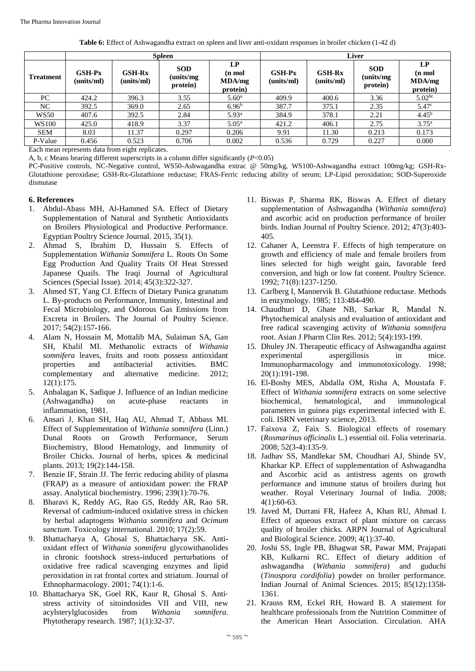**Table 6:** Effect of Ashwagandha extract on spleen and liver anti**-**oxidant responses in broiler chicken (1**-**42 d)

|                  | <b>Spleen</b>          |                             |                                      |                                       | <b>Liver</b>                |                        |                                     |                                       |  |
|------------------|------------------------|-----------------------------|--------------------------------------|---------------------------------------|-----------------------------|------------------------|-------------------------------------|---------------------------------------|--|
| <b>Treatment</b> | $GSH-PX$<br>(units/ml) | <b>GSH-Rx</b><br>(units/ml) | <b>SOD</b><br>(units/mg)<br>protein) | LP<br>$(n \mod$<br>MDA/mg<br>protein) | <b>GSH-Px</b><br>(units/ml) | $GSH-Rx$<br>(units/ml) | <b>SOD</b><br>(units/mg<br>protein) | LP<br>$(n \mod$<br>MDA/mg<br>protein) |  |
| PC.              | 424.2                  | 396.3                       | 3.55                                 | 5.60 <sup>a</sup>                     | 409.9                       | 400.6                  | 3.36                                | 5.02 <sup>bc</sup>                    |  |
| NC               | 392.5                  | 369.0                       | 2.65                                 | 6.96 <sup>b</sup>                     | 387.7                       | 375.1                  | 2.35                                | 5.47 <sup>c</sup>                     |  |
| <b>WS50</b>      | 407.6                  | 392.5                       | 2.84                                 | 5.93 <sup>a</sup>                     | 384.9                       | 378.1                  | 2.21                                | 4.45 <sup>b</sup>                     |  |
| WS100            | 425.0                  | 418.9                       | 3.37                                 | $5.05^{\rm a}$                        | 421.2                       | 406.1                  | 2.75                                | $3.75^{\rm a}$                        |  |
| <b>SEM</b>       | 8.03                   | 11.37                       | 0.297                                | 0.206                                 | 9.91                        | 11.30                  | 0.213                               | 0.173                                 |  |
| P-Value          | 0.456                  | 0.523                       | 0.706                                | 0.002                                 | 0.536                       | 0.729                  | 0.227                               | 0.000                                 |  |

Each mean represents data from eight replicates.

A, b, c Means bearing different superscripts in a column differ significantly (*P*<0.05)

PC**-**Positive controls, NC**-**Negative control, WS50**-**Ashwagandha extrac @ 50mg/kg, WS100**-**Ashwagandha extract 100mg/kg; GSH**-**Rx**-**Glutathione peroxidase; GSH**-**Rx**-**Glutathione reductase; FRAS**-**Ferric reducing ability of serum; LP**-**Lipid peroxidation; SOD**-**Superoxide dismutase

#### **6. References**

- 1. Abdul**-**Abass MH, Al**-**Hammed SA. Effect of Dietary Supplementation of Natural and Synthetic Antioxidants on Broilers Physiological and Productive Performance. Egyptian Poultry Science Journal. 2015, 35(1).
- 2. Ahmad S, Ibrahim D, Hussain S. Effects of Supplementation *Withania Somnifera* L. Roots On Some Egg Production And Quality Traits Of Heat Stressed Japanese Quails. The Iraqi Journal of Agricultural Sciences (Special Issue). 2014; 45(3):322**-**327.
- 3. Ahmed ST, Yang CJ. Effects of Dietary Punica granatum L. By**-**products on Performance, Immunity, Intestinal and Fecal Microbiology, and Odorous Gas Emissions from Excreta in Broilers. The Journal of Poultry Science. 2017; 54(2):157**-**166.
- 4. Alam N, Hossain M, Mottalib MA, Sulaiman SA, Gan SH, Khalil MI. Methanolic extracts of *Withania somnifera* leaves, fruits and roots possess antioxidant properties and antibacterial activities. BMC complementary and alternative medicine. 2012; 12(1):175.
- 5. Anbalagan K, Sadique J. Influence of an Indian medicine (Ashwagandha) on acute**-**phase reactants in inflammation, 1981.
- 6. Ansari J, Khan SH, Haq AU, Ahmad T, Abbass MI. Effect of Supplementation of *Withania somnifera* (Linn.) Dunal Roots on Growth Performance, Serum Biochemistry, Blood Hematology, and Immunity of Broiler Chicks. Journal of herbs, spices & medicinal plants. 2013; 19(2):144**-**158.
- 7. Benzie IF, Strain JJ. The ferric reducing ability of plasma (FRAP) as a measure of antioxidant power: the FRAP assay. Analytical biochemistry. 1996; 239(1):70**-**76.
- 8. Bharavi K, Reddy AG, Rao GS, Reddy AR, Rao SR. Reversal of cadmium**-**induced oxidative stress in chicken by herbal adaptogens *Withania somnifera* and *Ocimum sanctum*. Toxicology international. 2010; 17(2):59.
- 9. Bhattacharya A, Ghosal S, Bhattacharya SK. Antioxidant effect of *Withania somnifera* glycowithanolides in chronic footshock stress**-**induced perturbations of oxidative free radical scavenging enzymes and lipid peroxidation in rat frontal cortex and striatum. Journal of Ethnopharmacology. 2001; 74(1):1**-**6.
- 10. Bhattacharya SK, Goel RK, Kaur R, Ghosal S. Anti‐ stress activity of sitoindosides VII and VIII, new acylsterylglucosides from *Withania somnifera*. Phytotherapy research. 1987; 1(1):32**-**37.
- 11. Biswas P, Sharma RK, Biswas A. Effect of dietary supplementation of Ashwagandha (*Withania somnifera*) and ascorbic acid on production performance of broiler birds. Indian Journal of Poultry Science. 2012; 47(3):403**-** 405.
- 12. Cahaner A, Leenstra F. Effects of high temperature on growth and efficiency of male and female broilers from lines selected for high weight gain, favorable feed conversion, and high or low fat content. Poultry Science. 1992; 71(8):1237**-**1250.
- 13. Carlberg I, Mannervik B. Glutathione reductase. Methods in enzymology. 1985; 113:484**-**490.
- 14. Chaudhuri D, Ghate NB, Sarkar R, Mandal N. Phytochemical analysis and evaluation of antioxidant and free radical scavenging activity of *Withania somnifera* root. Asian J Pharm Clin Res. 2012; 5(4):193**-**199.
- 15. Dhuley JN. Therapeutic efficacy of Ashwagandha against experimental aspergillosis in mice. Immunopharmacology and immunotoxicology. 1998; 20(1):191**-**198.
- 16. El**-**Boshy MES, Abdalla OM, Risha A, Moustafa F. Effect of *Withania somnifera* extracts on some selective biochemical, hematological, and immunological parameters in guinea pigs experimental infected with E. coli. ISRN veterinary science, 2013.
- 17. Faixova Z, Faix S. Biological effects of rosemary (*Rosmarinus officinalis* L.) essential oil. Folia veterinaria. 2008; 52(3**-**4):135**-**9.
- 18. Jadhav SS, Mandlekar SM, Choudhari AJ, Shinde SV, Kharkar KP. Effect of supplementation of Ashwagandha and Ascorbic acid as antistress agents on growth performance and immune status of broilers during hot weather. Royal Veterinary Journal of India. 2008; 4(1):60**-**63.
- 19. Javed M, Durrani FR, Hafeez A, Khan RU, Ahmad I. Effect of aqueous extract of plant mixture on carcass quality of broiler chicks. ARPN Journal of Agricultural and Biological Science. 2009; 4(1):37**-**40.
- 20. Joshi SS, Ingle PB, Bhagwat SR, Pawar MM, Prajapati KB, Kulkarni RC. Effect of dietary addition of ashwagandha (*Withania somnifera*) and guduchi (*Tinospora cordifolia*) powder on broiler performance. Indian Journal of Animal Sciences. 2015; 85(12):1358**-** 1361.
- 21. Krauss RM, Eckel RH, Howard B. A statement for healthcare professionals from the Nutrition Committee of the American Heart Association. Circulation. AHA